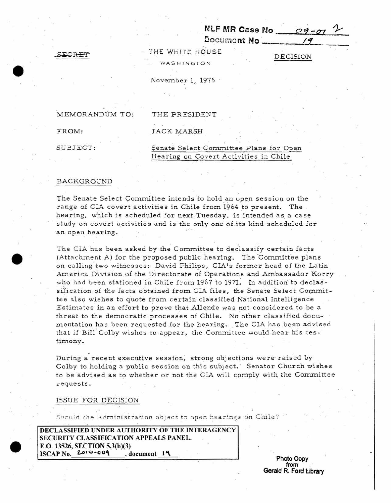Document **No \_\_ NLF MR Case No** ~--~~~~~~ *C>'i. - O:J* **-r** - **,** --.:-,..~~- **If** -

SEGRET SEGRET THE WHITE HOUSE THE DECISION

**WASHINGTON** 

November 1, 1975

MEMORANDUM TO: THE PRESIDENT

FROM: **JACK MARSH** 

# SUBJECT: Senate Select Committee Plans for Open Hearing on Covert Activities in Chile

#### BACKGROUND

The Senate Select Committee intends 'to hold an open session on the range of CIA covert activities in Chile from 1964 to present. The hearing, which is scheduled for next Tuesday, is intended as a case study on covert activities and is the only one of its kind scheduled for an open hearing.

The CIA has been asked by the Committee to declassify certain facts (Attachment A) for the proposed public hearing. The Committee plans on calling two witnesses: David Philips, CIA's former head of the Latin America Division of the Directorate of Operations and Ambassador Korry who had been stationed in Chile from 1967 to 1971. In addition to declassification of the facts obtained from CIA files, the Senate Select Committee also wishes to quote from certain classified National Intelligence Estimates in an effort to prove that Allende was not considered to be a threat to the democratic processes of Chile. No other classified documentation has been requested for the hearing. The CIA has been advised that if Bill Colby wishes to appear, the Committee would hear his testimony.

During a recent executive session, strong objections were raised by Colby to holding a public session on this subject. Senator Church wishes to be advised as to whether or not the CIA will comply with the Committee requests.

ISSUE FOR DECISION

Should the Administration object to open hearings on Chile?

**DECLASSIFIED UNDER AUTHORITY OF THE INTERAGENCY SECURITY CLASSIFICATION APPEALS PANEL. E.O.13526, SECTION 5.3{b){3) ISCAP** No. **z...o\oo** *-uo,\* **,document l '\**

**Photo** Copy **from Gerald** R. Ford Library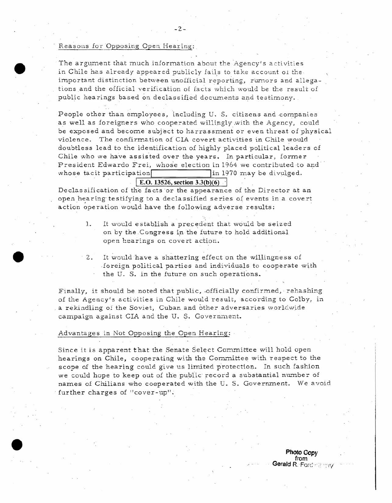#### Reasons for Opposing Open Hearing:

The argument that much information about the Agency's activities in Chile has already appeared publicly fails to take account of the important distinction between unofficial reporting, rumors and allegations and the official verification of facts which would be the result of public hearings based on declassified documents and testimony.

-2-

People other than employees, including U. S. citizens and companies as well as foreigners who cooperated willingly,with the Agency, could be exposed and become subject to harrassment or even threat of physical violence. The confirmation of CLI\. covert activities in Chile would doubtless lead to the identification of highly placed political leaders of Chile who we have assisted over the years. In particular, former President Edwardo Frei, whose election in 1964 we contributed to and whose tacit participation  $\frac{1}{\ln 1970}$  may be divulged.

## $E.D. 13526$ , **section**  $3.3(b)(6)$

Declassification of the facts or the appearance of the Director at an open hearing testifying to a declassified series of events in a covert action operation would have the following adverse results:

- 1. It would establish a precedent that would be seized on by the Congress in the future to hold additional open hearings on covert action.
- $\cdot$  2. It would have a shattering effect on the willingness of foreign political parties and individuals to cooperate with the U. S. in the future on such operations.

Finally, it should be noted that public, -officially confirmed, rehashing of the Agency's activities in Chile would result, according to Golby, in a rekindling of the Soviet, Cuban and other adversaries worldwide campaign against CIA and the U. S. Government.

### Advantages in Not Opposing the Open Hearing:

Since it is apparent that the Senate Select Committee will hold open hearings on Chile, cooperating with the Committee with respect to the scope of the hearing could give us limited protection. In such fashion we could hope to keep out of the public record a substantial number of names of Chilians who cooperated with the U.S. Government. We avoid . further charges of "cover-up":

> **Photo Copy from Gerald** R. Ford  $\le$  if

í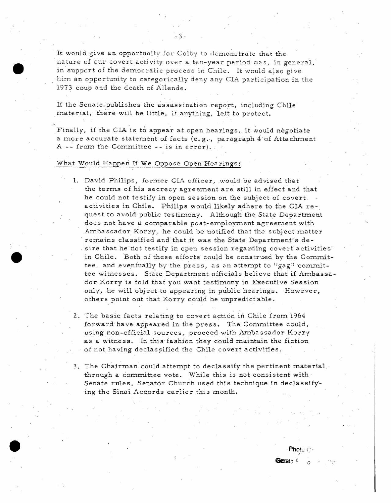It would give an opportunity for Colby- to demonstrate that the nature of our covert activity over a ten-year period was, in general, in support of the democratic process in Chile. It would also give him an opportunity to categorically deny any CIA participation in the 1973 coup and the death of Allende.

 $-3-$ 

If the Senate.publishes the assassination report, including Chile' material, there will be little, if anything, left to protect.

Finally, if the CIA is to appear at open hearings, it would negotiate a more accurate statement of facts (e.g., paragraph  $4\,$  of Attachment A -- from the Committee -- is in error).

### What Would Happen If We Oppose Open Hearings:

- 1. David Philips, former CIA officer, would be advised that the terms of his secrecy agreement are still in effect and that he could not testify in open session on the subject of covert activities in Chile. Philips would likely adhere to the CIA request to avoid public testimony. Although the State Department does not have a comparable post-employment agreement with Ambassador Korry, he could be notified that the subject matter remains classified and that it was the State Department's desire that he not testify in open session regarding covert activities in Chile. Both of these efforts could be construed by the Committee, and eventually by the press, as an attempt to "gag" committee witnesses. State Department officials believe that if Ambassador Korry is told that you want testimony in Executive Session only, he will object to appearing in public hearings. However, others point out that Korry could be unpredictable.
- 2. The basic facts relating to covert action in Chile from 1964 forward have appeared in the press. The Committee could, using non-official sources, proceed with Ambassador Korry asa witness. In this Iashion they could maintain the fiction of not having declassified the Chile covert activities.
- 3. The Chairman could attempt to declassify the pertinent material through a committee vote. While this is not consistent with Senate rules, Senator Church used this technique in declassifying the Sinai Accords earlier this month.

Photo C-

Gerald S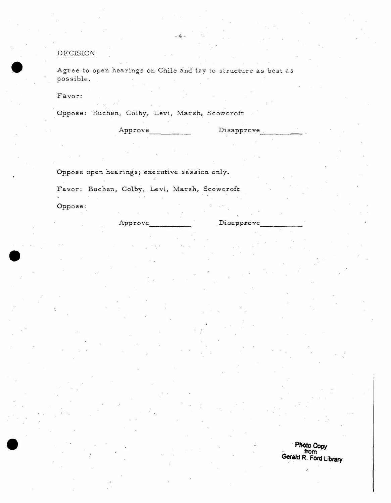# *DECISION*

Agree to open hearings on Chile and try to structure as best as possible.

Disapprove.

-4-

·Favor:

Oppose: 'Buchen, Colby, Levi, Marsh, Scowcroft

Oppose open hearings; executive session only.

Approve

Favor: Buchen, Colby, Levi, Marsh, Scowcroft Oppose:

------

Approve Disapprove

**. PhOto** *Copy* **from Gerald R. FOrd Library**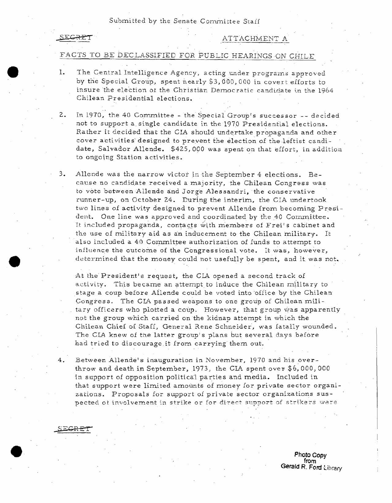Submitted by the Senate Committee Staff

#### SEGRET

SEGRE

## ATT ACHMENT A

# FACTS TO BE DECLASSIFIED FOR PUBLIC HEARINGS ON CHILE

- 1. The Central Intelligence Agency, acting under programs approved by the Special Group, spent nearly \$3,000,000 in covert efforts to insure the election of the Christian Democratic candidate in the 1964 Chilean Presidential elections.
- 2. In 1970, the 40 Committee the Special Group's successor -- decided not to support a single candidate in the 1970 Presidential elections. Rather it decided that the CIA should undertake propaganda and other cover ac ti viti<sup>e</sup> <sup>s</sup> designed to prevent the election *of* theleitist candidate, Salvador Allende. \$425,000 was spent on that effort, in addition to ongoing Station activities.
- **3. Allende** wa <sup>s</sup> **the narrow victor** i<sup>n</sup> **the September <sup>4</sup> elections.** *Be*cause no candidate received a majority, the Chilean Congress was to vote between Allende and Jorge Alessandri, the conservative runner-up, on October 24. During the interim, the CIA undertook two lines *of* activity designed to prevent Allende from becoming President. One line was approved and coordinated by the 40 Cormnittee. It included propaganda, contacts with members of Frei's cabinet and the use of military aid as an inducement to the Chilean military. It also included a 40 Committee authorization of funds to attempt to influence the outcome of the Congressional vote. It was, however, determined that the money could not usefully be spent, and it was not.

At the President's request, the CIA opened a second track of activity. This became an attempt to induce the Chilean military to stage a coup before Allende could be voted into office by the Chilean Congress. The CIA passed weapons to one group of Chilean military officers who plotted a coup. However, that group was apparently not the group which carried on the kidnap attempt in which the Chilean Chief of Staff, General Rene Schneider, was fatally wounded. The CIA knew of the latter group's plans but several days before had tried to discourage it from carrying them out.

Between Allende's inauguration in November, 1970 and his overthrow and death in September, 1973, the CIA spent over \$6,000,000 in support of opposition political parties and media. Included in that support were limited amounts of money for private sector organizations. Proposals for support of private sector organizations suspected ot involvement in strike or for direct support of strikers were

> **Photo** *Copy* **from Gerald R. Ford Library**